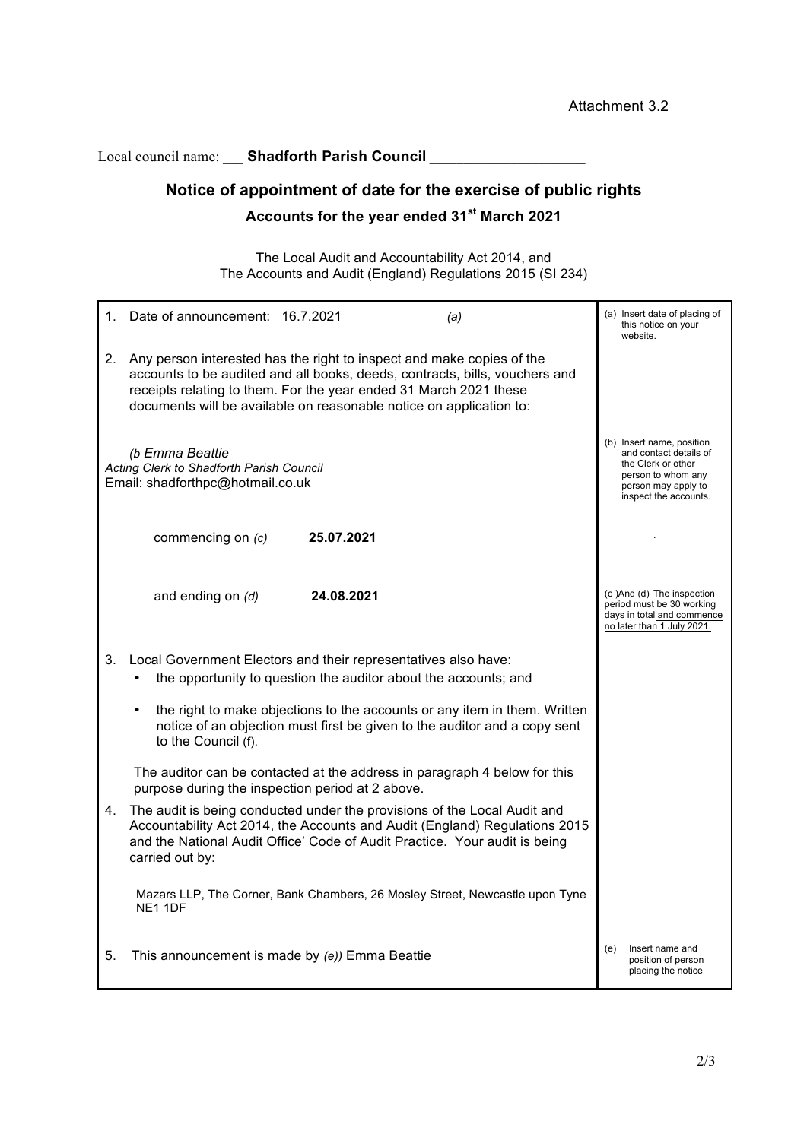Local council name: Shadforth Parish Council

# **Notice of appointment of date for the exercise of public rights**

## **Accounts for the year ended 31st March 2021**

The Local Audit and Accountability Act 2014, and The Accounts and Audit (England) Regulations 2015 (SI 234)

|                                                                                                 | 1. Date of announcement: 16.7.2021                                                                                                                                                                                                                                                               |            | (a)                                                                                                                                             | (a) Insert date of placing of<br>this notice on your<br>website.                                                   |  |
|-------------------------------------------------------------------------------------------------|--------------------------------------------------------------------------------------------------------------------------------------------------------------------------------------------------------------------------------------------------------------------------------------------------|------------|-------------------------------------------------------------------------------------------------------------------------------------------------|--------------------------------------------------------------------------------------------------------------------|--|
| 2.                                                                                              | Any person interested has the right to inspect and make copies of the<br>accounts to be audited and all books, deeds, contracts, bills, vouchers and<br>receipts relating to them. For the year ended 31 March 2021 these<br>documents will be available on reasonable notice on application to: |            |                                                                                                                                                 |                                                                                                                    |  |
| (b Emma Beattie<br>Acting Clerk to Shadforth Parish Council<br>Email: shadforthpc@hotmail.co.uk |                                                                                                                                                                                                                                                                                                  |            | (b) Insert name, position<br>and contact details of<br>the Clerk or other<br>person to whom any<br>person may apply to<br>inspect the accounts. |                                                                                                                    |  |
|                                                                                                 | commencing on (c)                                                                                                                                                                                                                                                                                | 25.07.2021 |                                                                                                                                                 |                                                                                                                    |  |
|                                                                                                 | and ending on (d)                                                                                                                                                                                                                                                                                | 24.08.2021 |                                                                                                                                                 | (c)And (d) The inspection<br>period must be 30 working<br>days in total and commence<br>no later than 1 July 2021. |  |
| 3.                                                                                              | Local Government Electors and their representatives also have:<br>the opportunity to question the auditor about the accounts; and                                                                                                                                                                |            |                                                                                                                                                 |                                                                                                                    |  |
|                                                                                                 | the right to make objections to the accounts or any item in them. Written<br>notice of an objection must first be given to the auditor and a copy sent<br>to the Council (f).                                                                                                                    |            |                                                                                                                                                 |                                                                                                                    |  |
|                                                                                                 | The auditor can be contacted at the address in paragraph 4 below for this<br>purpose during the inspection period at 2 above.                                                                                                                                                                    |            |                                                                                                                                                 |                                                                                                                    |  |
| 4.                                                                                              | The audit is being conducted under the provisions of the Local Audit and<br>and the National Audit Office' Code of Audit Practice. Your audit is being<br>carried out by:                                                                                                                        |            | Accountability Act 2014, the Accounts and Audit (England) Regulations 2015                                                                      |                                                                                                                    |  |
|                                                                                                 | NE1 1DF                                                                                                                                                                                                                                                                                          |            | Mazars LLP, The Corner, Bank Chambers, 26 Mosley Street, Newcastle upon Tyne                                                                    |                                                                                                                    |  |
| 5.                                                                                              | This announcement is made by (e)) Emma Beattie                                                                                                                                                                                                                                                   |            |                                                                                                                                                 | Insert name and<br>(e)<br>position of person<br>placing the notice                                                 |  |